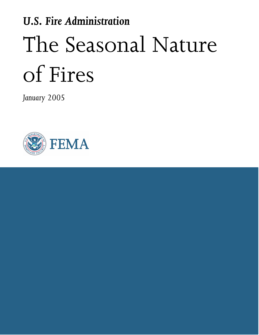# U.S. Fire Administration The Seasonal Nature of Fires

January 2005

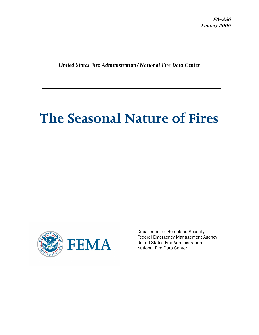United States Fire Administration/National Fire Data Center

# The Seasonal Nature of Fires



Department of Homeland Security Federal Emergency Management Agency United States Fire Administration National Fire Data Center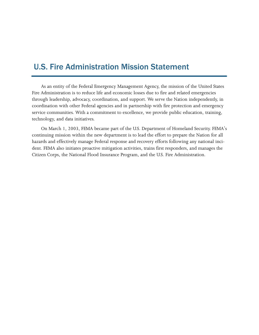# U.S. Fire Administration Mission Statement

As an entity of the Federal Emergency Management Agency, the mission of the United States Fire Administration is to reduce life and economic losses due to fire and related emergencies through leadership, advocacy, coordination, and support. We serve the Nation independently, in coordination with other Federal agencies and in partnership with fire protection and emergency service communities. With a commitment to excellence, we provide public education, training, technology, and data initiatives.

On March 1, 2003, FEMA became part of the U.S. Department of Homeland Security. FEMA's continuing mission within the new department is to lead the effort to prepare the Nation for all hazards and effectively manage Federal response and recovery efforts following any national incident. FEMA also initiates proactive mitigation activities, trains first responders, and manages the Citizen Corps, the National Flood Insurance Program, and the U.S. Fire Administration.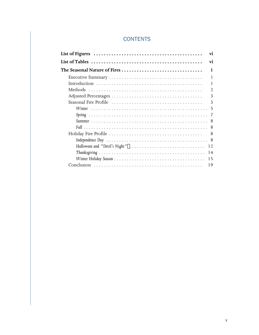## **CONTENTS**

|        | vi             |
|--------|----------------|
|        | vi             |
|        | 1              |
|        | 1              |
|        | 1              |
|        | $\mathfrak{D}$ |
|        | 3              |
|        | 3              |
| Winter | .5             |
|        | 7              |
|        | 8              |
|        | 8              |
|        | 8              |
|        | 8              |
|        | 12             |
|        | 14             |
|        | 15             |
|        | 19             |
|        |                |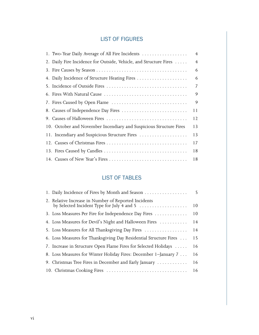# LIST OF FIGURES

| 1. Two-Year Daily Average of All Fire Incidents                    | $\overline{4}$ |
|--------------------------------------------------------------------|----------------|
| 2. Daily Fire Incidence for Outside, Vehicle, and Structure Fires  | $\overline{4}$ |
|                                                                    | 6              |
| 4. Daily Incidence of Structure Heating Fires                      | 6              |
|                                                                    | 7              |
|                                                                    | 9              |
|                                                                    | 9              |
| 8. Causes of Independence Day Fires                                | 11             |
|                                                                    | 12             |
| 10. October and November Incendiary and Suspicious Structure Fires | 13             |
| 11. Incendiary and Suspicious Structure Fires                      | 13             |
|                                                                    | 17             |
|                                                                    | 18             |
|                                                                    | 18             |

### LIST OF TABLES

| 1. Daily Incidence of Fires by Month and Season                   | 5 <sup>1</sup> |
|-------------------------------------------------------------------|----------------|
| 2. Relative Increase in Number of Reported Incidents              | 10             |
| 3. Loss Measures Per Fire for Independence Day Fires              | 10             |
| 4. Loss Measures for Devil's Night and Halloween Fires            | 14             |
| 5. Loss Measures for All Thanksgiving Day Fires                   | 14             |
| 6. Loss Measures for Thanksgiving Day Residential Structure Fires | 15             |
| 7. Increase in Structure Open Flame Fires for Selected Holidays   | 16             |
| 8. Loss Measures for Winter Holiday Fires: December 1-January 7   | 16             |
| 9. Christmas Tree Fires in December and Early January             | 16             |
|                                                                   | -16            |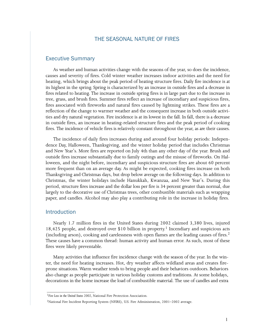#### THE SEASONAL NATURE OF FIRES

#### Executive Summary

As weather and human activities change with the seasons of the year, so does the incidence, causes and severity of fires. Cold winter weather increases indoor activities and the need for heating, which brings about the peak period of heating structure fires. Daily fire incidence is at its highest in the spring. Spring is characterized by an increase in outside fires and a decrease in fires related to heating. The increase in outside spring fires is in large part due to the increase in tree, grass, and brush fires. Summer fires reflect an increase of incendiary and suspicious fires, fires associated with fireworks and natural fires caused by lightning strikes. These fires are a reflection of the change to warmer weather and the consequent increase in both outside activities and dry natural vegetation. Fire incidence is at its lowest in the fall. In fall, there is a decrease in outside fires, an increase in heating−related structure fires and the peak period of cooking fires. The incidence of vehicle fires is relatively constant throughout the year, as are their causes.

The incidence of daily fires increases during and around four holiday periods: Independence Day, Halloween, Thanksgiving, and the winter holiday period that includes Christmas and New Year's. More fires are reported on July 4th than any other day of the year. Brush and outside fires increase substantially due to family outings and the misuse of fireworks. On Halloween, and the night before, incendiary and suspicious structure fires are about 60 percent more frequent than on an average day. As might be expected, cooking fires increase on both Thanksgiving and Christmas days, but drop below average on the following days. In addition to Christmas, the winter holidays include Hanukkah, Kwanzaa, and New Year's. During this period, structure fires increase and the dollar loss per fire is 34 percent greater than normal, due largely to the decorative use of Christmas trees, other combustible materials such as wrapping paper, and candles. Alcohol may also play a contributing role in the increase in holiday fires.

#### **Introduction**

\_\_\_\_\_\_\_\_\_\_\_\_\_\_\_\_\_\_\_\_\_\_\_\_\_

Nearly 1.7 million fires in the United States during 2002 claimed 3,380 lives, injured 18,425 people, and destroyed over \$10 billion in property.<sup>1</sup> Incendiary and suspicious acts (including arson), cooking and carelessness with open flames are the leading causes of fires.2 These causes have a common thread: human activity and human error. As such, most of these fires were likely preventable.

Many activities that influence fire incidence change with the season of the year. In the win− ter, the need for heating increases. Hot, dry weather affects wildland areas and creates fire− prone situations. Warm weather tends to bring people and their behaviors outdoors. Behaviors also change as people participate in various holiday customs and traditions. At some holidays, decorations in the home increase the load of combustible material. The use of candles and extra

<sup>&</sup>lt;sup>[1](#page-10-0)</sup>Fire Loss in the United States 2002, National Fire Protection Association.

[<sup>2</sup>N](#page-10-0)ational Fire Incident Reporting System (NFIRS), U.S. Fire Administration, 2001–2002 average.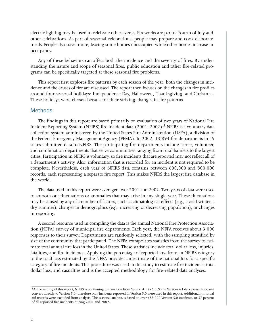electric lighting may be used to celebrate other events. Fireworks are part of Fourth of July and other celebrations. As part of seasonal celebrations, people may prepare and cook elaborate meals. People also travel more, leaving some homes unoccupied while other homes increase in occupancy.

Any of these behaviors can affect both the incidence and the severity of fires. By under− standing the nature and scope of seasonal fires, public education and other fire−related programs can be specifically targeted at these seasonal fire problems.

This report first explores fire patterns by each season of the year; both the changes in incidence and the causes of fire are discussed. The report then focuses on the changes in fire profiles around four seasonal holidays: Independence Day, Halloween, Thanksgiving, and Christmas. These holidays were chosen because of their striking changes in fire patterns.

#### Methods

The findings in this report are based primarily on evaluation of two years of National Fire Incident Reporting System (NFIRS) fire incident data  $(2001-2002)$ .<sup>3</sup> NFIRS is a voluntary data collection system administered by the United States Fire Administration (USFA), a division of the Federal Emergency Management Agency (FEMA). In 2002, 13,894 fire departments in 49 states submitted data to NFIRS. The participating fire departments include career, volunteer, and combination departments that serve communities ranging from rural hamlets to the largest cities. Participation in NFIRS is voluntary, so fire incidents that are reported may not reflect all of a department's activity. Also, information that is recorded for an incident is not required to be complete. Nevertheless, each year of NFIRS data contains between 600,000 and 800,000 records, each representing a separate fire report. This makes NFIRS the largest fire database in the world.

The data used in this report were averaged over 2001 and 2002. Two years of data were used to smooth out fluctuations or anomalies that may arise in any single year. These fluctuations may be caused by any of a number of factors, such as climatological effects (e.g., a cold winter, a dry summer), changes in demographics (e.g., increasing or decreasing population), or changes in reporting.

A second resource used in compiling the data is the annual National Fire Protection Association (NFPA) survey of municipal fire departments. Each year, the NFPA receives about 3,000 responses to their survey. Departments are randomly selected, with the sampling stratified by size of the community that participated. The NFPA extrapolates statistics from the survey to estimate total annual fire loss in the United States. These statistics include total dollar loss, injuries, fatalities, and fire incidence. Applying the percentage of reported loss from an NFIRS category to the total loss estimated by the NFPA provides an estimate of the national loss for a specific category of fire incidents. This procedure was used in this study to estimate fire incidence, total dollar loss, and casualties and is the accepted methodology for fire−related data analyses.

\_\_\_\_\_\_\_\_\_\_\_\_\_\_\_\_\_\_\_\_\_\_\_\_\_

[<sup>3</sup>A](#page-11-0)t the writing of this report, NFIRS is continuing to transition from Version 4.1 to 5.0. Some Version 4.1 data elements do not convert directly to Version 5.0, therefore only incidents reported in Version 5.0 were used in this report. Additionally, mutual aid records were excluded from analysis. The seasonal analysis is based on over 685,000 Version 5.0 incidents, or 57 percent of all reported fire incidents during 2001 and 2002.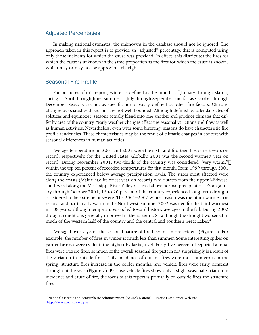#### Adjusted Percentages

In making national estimates, the unknowns in the database should not be ignored. The approach taken in this report is to provide an "adjusted" percentage that is computed using only those incidents for which the cause was provided. In effect, this distributes the fires for which the cause is unknown in the same proportion as the fires for which the cause is known, which may or may not be approximately right.

#### Seasonal Fire Profile

\_\_\_\_\_\_\_\_\_\_\_\_\_\_\_\_\_\_\_\_\_\_\_\_\_

For purposes of this report, winter is defined as the months of January through March, spring as April through June, summer as July through September and fall as October through December. Seasons are not as specific nor as easily defined as other fire factors. Climatic changes associated with seasons are not well bounded. Although defined by calendar dates of solstices and equinoxes, seasons actually blend into one another and produce climates that differ by area of the country. Yearly weather changes affect the seasonal variations and flow as well as human activities. Nevertheless, even with some blurring, seasons do have characteristic fire profile tendencies. These characteristics may be the result of climatic changes in concert with seasonal differences in human activities.

Average temperatures in 2001 and 2002 were the sixth and fourteenth warmest years on record, respectively, for the United States. Globally, 2001 was the second warmest year on record. During November 2001, two−thirds of the country was considered "very warm," within the top ten percent of recorded temperatures for that month. From 1999 through 2001 the country experienced below average precipitation levels. The states most affected were along the coasts (Maine had its driest year on record) while states from the upper Midwest southward along the Mississippi River Valley received above normal precipitation. From January through October 2001, 15 to 20 percent of the country experienced long term drought considered to be extreme or severe. The 2001–2002 winter season was the ninth warmest on record, and particularly warm in the Northwest. Summer 2002 was tied for the third warmest in 108 years, although temperatures cooled toward historic averages in the fall. During 2002 drought conditions generally improved in the eastern U.S., although the drought worsened in much of the western half of the country and the central and southern Great Lakes.4

Averaged over 2 years, the seasonal nature of fire becomes more evident (Figure 1). For example, the number of fires in winter is much less than summer. Some interesting spikes on particular days were evident; the highest by far is July 4. Forty−five percent of reported annual fires were outside fires, so much of the overall seasonal fire pattern not surprisingly is a result of the variation in outside fires. Daily incidence of outside fires were most numerous in the spring, structure fires increase in the colder months, and vehicle fires were fairly constant throughout the year (Figure 2). Because vehicle fires show only a slight seasonal variation in incidence and cause of fire, the focus of this report is primarily on outside fires and structure fires.

[<sup>4</sup>N](#page-12-0)ational Oceanic and Atmospheric Administration (NOAA) National Climatic Data Center Web site [http://www.ncdc.noaa.gov.](http://www.ncdc.noaa.gov)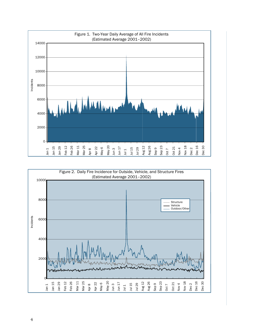

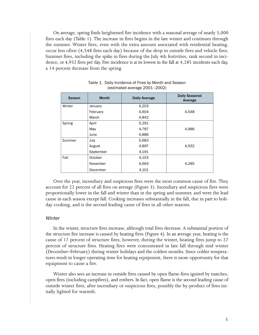On average, spring finds heightened fire incidence with a seasonal average of nearly 5,000 fires each day (Table 1). The increase in fires begins in the late winter and continues through the summer. Winter fires, even with the extra amount associated with residential heating, occur less often (4,548 fires each day) because of the drop in outside fires and vehicle fires. Summer fires, including the spike in fires during the July 4th festivities, rank second in incidence, or 4,932 fires per day. Fire incidence is at its lowest in the fall at 4,285 incidents each day, a 14 percent decrease from the spring.

| <b>Season</b> | <b>Month</b> | <b>Daily Average</b> | <b>Daily Seasonal</b><br>Average |
|---------------|--------------|----------------------|----------------------------------|
| Winter        | January      | 4,203                |                                  |
|               | February     | 4,604                | 4,548                            |
|               | March        | 4,842                |                                  |
| Spring        | April        | 5,291                |                                  |
|               | May          | 4,787                | 4,986                            |
|               | June         | 4,886                |                                  |
| Summer        | July         | 5,683                |                                  |
|               | August       | 4,897                | 4,932                            |
|               | September    | 4,191                |                                  |
| Fall          | October      | 4,103                |                                  |
|               | November     | 4,664                | 4.285                            |
|               | December     | 4,101                |                                  |

Table [1](#page-14-0). Daily Incidence of Fires by Month and Season (estimated average 2001–2002)

Over the year, incendiary and suspicious fires were the most common cause of fire. They account for 22 percent of all fires on average (Figure 3). Incendiary and suspicious fires were proportionally lower in the fall and winter than in the spring and summer, and were the lead cause in each season except fall. Cooking increases substantially in the fall, due in part to holiday cooking, and is the second leading cause of fires in all other seasons.

#### **Winter**

In the winter, structure fires increase, although total fires decrease. A substantial portion of the structure fire increase is caused by heating fires (Figure 4). In an average year, heating is the cause of 17 percent of structure fires; however, during the winter, heating fires jump to 27 percent of structure fires. Heating fires were concentrated in late fall through mid winter (December–February) during winter holidays and the coldest months. Since colder temperatures result in longer operating time for heating equipment, there is more opportunity for that equipment to cause a fire.

Winter also sees an increase in outside fires caused by open flame−fires ignited by matches, open fires (including campfires), and embers. In fact, open flame is the second leading cause of outside winter fires, after incendiary or suspicious fires, possibly the by−product of fires initially lighted for warmth.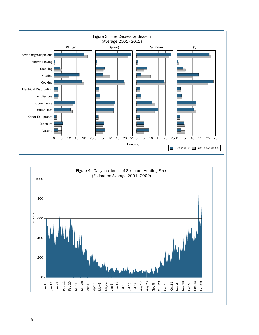<span id="page-10-0"></span>

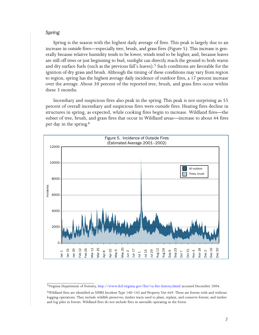#### <span id="page-11-0"></span>Spring

Spring is the season with the highest daily average of fires. This peak is largely due to an increase in outside fires—especially tree, brush, and grass fires (Figure 5). This increase is generally because relative humidity tends to be lower, winds tend to be higher, and, because leaves are still off trees or just beginning to bud, sunlight can directly reach the ground to both warm and dry surface fuels (such as the previous fall's leaves).<sup>5</sup> Such conditions are favorable for the ignition of dry grass and brush. Although the timing of these conditions may vary from region to region, spring has the highest average daily incidence of outdoor fires, a 17 percent increase over the average. About 30 percent of the reported tree, brush, and grass fires occur within these 3 months.

Incendiary and suspicious fires also peak in the spring. This peak is not surprising as 55 percent of overall incendiary and suspicious fires were outside fires. Heating fires decline in structures in spring, as expected, while cooking fires begin to increase. Wildland fires—the subset of tree, brush, and grass fires that occur in Wildland areas—increase to about 44 fires per day in the spring.6



\_\_\_\_\_\_\_\_\_\_\_\_\_\_\_\_\_\_\_\_\_\_\_\_\_ 5Virginia Department of Forestry, http://www.dof.virginia.gov/fire/va−fire−history.shtml accessed December 2004.

<sup>6</sup>Wildland fires are identified as NFIRS Incident Type 140–143 and Property Use 669. These are forests with and without logging operations. They include wildlife preserves; timber tracts used to plant, replant, and conserve forests; and timber and log piles in forests. Wildland fires do not include fires in sawmills operating in the forest.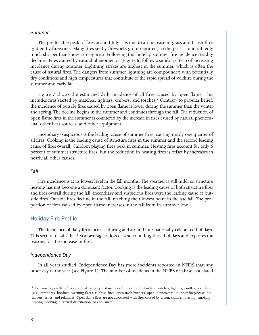#### <span id="page-12-0"></span>Summer

The predictable peak of fires around July 4 is due to an increase in grass and brush fires ignited by fireworks. Many fires set by fireworks go unreported, so the peak is undoubtedly much sharper than shown in Figure 5. Following this holiday, summer fire incidence steadily declines. Fires caused by natural phenomenon (Figure 6) follow a similar pattern of increasing incidence during summer. Lightning strikes are highest in the summer, which is often the cause of natural fires. The dangers from summer lightning are compounded with potentially dry conditions and high temperatures that contribute to the rapid spread of wildfire during the summer and early fall.

Figure 7 shows the estimated daily incidence of all fires caused by open flame. This includes fires started by matches, lighters, embers, and torches.<sup>7</sup> Contrary to popular belief, the incidence of outside fires caused by open flame is lower during the summer than the winter and spring. The decline begins in the summer and continues through the fall. The reduction of open flame fires in the summer is countered by the increase in fires caused by natural phenomena, other heat sources, and other equipment.

Incendiary/suspicious is the leading cause of summer fires, causing nearly one quarter of all fires. Cooking is the leading cause of structure fires in the summer and the second leading cause of fires overall. Children playing fires peak in summer. Heating fires account for only 6 percent of summer structure fires, but the reduction in heating fires is offset by increases in nearly all other causes.

#### Fall

Fire incidence is at its lowest level in the fall months. The weather is still mild, so structure heating has not become a dominant factor. Cooking is the leading cause of both structure fires and fires overall during the fall; incendiary and suspicious fires were the leading cause of outside fires. Outside fires decline in the fall, reaching their lowest point in the late fall. The proportion of fires caused by open flame increases in the fall from its summer low.

#### Holiday Fire Profile

The incidence of daily fires increase during and around four nationally celebrated holidays. This section details the 2−year average of loss data surrounding these holidays and explores the reasons for the increase in fires.

#### Independence Day

\_\_\_\_\_\_\_\_\_\_\_\_\_\_\_\_\_\_\_\_\_\_\_\_\_

In all years studied, Independence Day has more incidents reported in NFIRS than any other day of the year (see Figure 1). The number of incidents in the NFIRS database associated

[<sup>7</sup>T](#page-17-0)he cause "open flame" is a residual category that includes fires started by torches, matches, lighters, candles, open fires (e.g., campfires, bonfires, warning flares, rubbish fires, open trash burners, open incinerators, outdoor fireplaces), hot embers, ashes, and rekindles. Open flame fires are not associated with fires caused by arson, children playing, smoking, heating, cooking, electrical distribution, or appliances.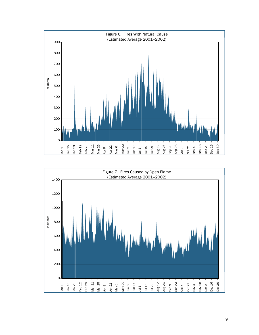

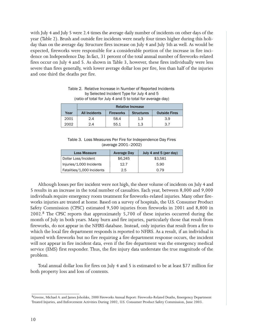<span id="page-14-0"></span>with July 4 and July 5 were 2.4 times the average daily number of incidents on other days of the year (Table 2). Brush and outside fire incidents were nearly four times higher during this holiday than on the average day. Structure fires increase on July 4 and July 5th as well. As would be expected, fireworks were responsible for a considerable portion of the increase in fire incidence on Independence Day. In fact, 31 percent of the total annual number of fireworks−related fires occur on July 4 and 5. As shown in Table 3, however, these fires individually were less severe than fires generally, with lower average dollar loss per fire, less than half of the injuries and one third the deaths per fire.

|      | <b>Relative Increase</b> |                  |                   |                      |
|------|--------------------------|------------------|-------------------|----------------------|
| Year | <b>All Incidents</b>     | <b>Fireworks</b> | <b>Structures</b> | <b>Outside Fires</b> |
| 2001 | 2.4                      | 58.4             | 1.3               | 3.9                  |
| 2002 | 2.4                      | 55.1             | 1.3               | 37                   |

Table [2.](#page-19-0) Relative Increase in Number of Reported Incidents by Selected Incident Type for July 4 and 5 (ratio of total for July 4 and 5 to total for average day)

Table 3. Loss Measures Per Fire for Independence Day Fires (average 2001–2002)

| <b>Loss Measure</b>        | <b>Average Day</b> | July 4 and 5 (per day) |
|----------------------------|--------------------|------------------------|
| Dollar Loss/Incident       | \$6,245            | \$3.581                |
| Injuries/1,000 Incidents   | 12.7               | 5.90                   |
| Fatalities/1,000 Incidents | 2.5                | 0.79                   |

Although losses per fire incident were not high, the sheer volume of incidents on July 4 and 5 results in an increase in the total number of casualties. Each year, between 8,000 and 9,000 individuals require emergency room treatment for fireworks−related injuries. Many other fireworks injuries are treated at home. Based on a survey of hospitals, the U.S. Consumer Product Safety Commission (CPSC) estimated 9,500 injuries from fireworks in 2001 and 8,800 in 2002.8 The CPSC reports that approximately 5,700 of these injuries occurred during the month of July in both years. Many burn and fire injuries, particularly those that result from fireworks, do not appear in the NFIRS database. Instead, only injuries that result from a fire to which the local fire department responds is reported to NFIRS. As a result, if an individual is injured with fireworks but no fire requiring a fire department response occurs, the incident will not appear in fire incident data, even if the fire department was the emergency medical service (EMS) first responder. Thus, the fire injury data understate the true magnitude of the problem.

Total annual dollar loss for fires on July 4 and 5 is estimated to be at least \$77 million for both property loss and loss of contents.

\_\_\_\_\_\_\_\_\_\_\_\_\_\_\_\_\_\_\_\_\_\_\_\_\_

[<sup>8</sup>G](#page-19-0)reene, Michael A. and James Joholske, 2000 Fireworks Annual Report: Fireworks−Related Deaths, Emergency Department Treated Injuries, and Enforcement Activities During 2002, U.S. Consumer Product Safety Commission, June 2003.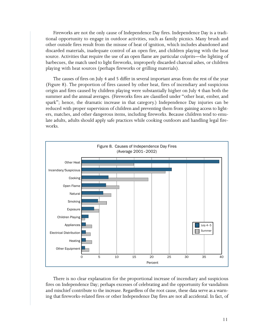Fireworks are not the only cause of Independence Day fires. Independence Day is a traditional opportunity to engage in outdoor activities, such as family picnics. Many brush and other outside fires result from the misuse of heat of ignition, which includes abandoned and discarded materials, inadequate control of an open fire, and children playing with the heat source. Activities that require the use of an open flame are particular culprits—the lighting of barbecues, the match used to light fireworks, improperly discarded charcoal ashes, or children playing with heat sources (perhaps fireworks or grilling materials).

The causes of fires on July 4 and 5 differ in several important areas from the rest of the year (Figure 8). The proportion of fires caused by other heat, fires of incendiary and suspicious origin and fires caused by children playing were substantially higher on July 4 than both the summer and the annual averages. (Fireworks fires are classified under "other heat, ember, and spark"; hence, the dramatic increase in that category.) Independence Day injuries can be reduced with proper supervision of children and preventing them from gaining access to lighters, matches, and other dangerous items, including fireworks. Because children tend to emulate adults, adults should apply safe practices while cooking outdoors and handling legal fireworks.



There is no clear explanation for the proportional increase of incendiary and suspicious fires on Independence Day; perhaps excesses of celebrating and the opportunity for vandalism and mischief contribute to the increase. Regardless of the root cause, these data serve as a warning that fireworks−related fires or other Independence Day fires are not all accidental. In fact, of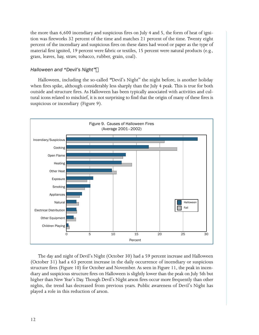the more than 6,600 incendiary and suspicious fires on July 4 and 5, the form of heat of ignition was fireworks 32 percent of the time and matches 21 percent of the time. Twenty eight percent of the incendiary and suspicious fires on these dates had wood or paper as the type of material first ignited, 19 percent were fabric or textiles, 15 percent were natural products (e.g., grass, leaves, hay, straw, tobacco, rubber, grain, coal).

#### Halloween and *"*Devil's Night*"*

Halloween, including the so−called *"*Devil's Night" the night before, is another holiday when fires spike, although considerably less sharply than the July 4 peak. This is true for both outside and structure fires. As Halloween has been typically associated with activities and cultural icons related to mischief, it is not surprising to find that the origin of many of these fires is suspicious or incendiary (Figure 9).



The day and night of Devil's Night (October 30) had a 59 percent increase and Halloween (October 31) had a 63 percent increase in the daily occurrence of incendiary or suspicious structure fires (Figure 10) for October and November. As seen in Figure 11, the peak in incendiary and suspicious structure fires on Halloween is slightly lower than the peak on July 5th but higher than New Year's Day. Though Devil's Night arson fires occur more frequently than other nights, the trend has decreased from previous years. Public awareness of Devil's Night has played a role in this reduction of arson.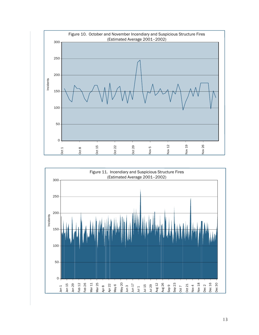<span id="page-17-0"></span>

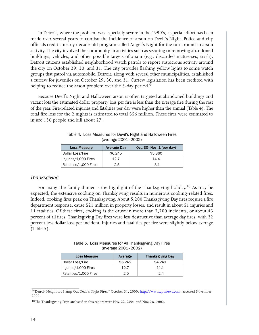In Detroit, where the problem was especially severe in the 1990's, a special effort has been made over several years to combat the incidence of arson on Devil's Night. Police and city officials credit a nearly decade−old program called Angel's Night for the turnaround in arson activity. The city involved the community in activities such as securing or removing abandoned buildings, vehicles, and other possible targets of arson (e.g., discarded mattresses, trash). Detroit citizens established neighborhood watch patrols to report suspicious activity around the city on October 29, 30, and 31. The city provides flashing yellow lights to some watch groups that patrol via automobile. Detroit, along with several other municipalities, established a curfew for juveniles on October 29, 30, and 31. Curfew legislation has been credited with helping to reduce the arson problem over the 3-day period.<sup>9</sup>

Because Devil's Night and Halloween arson is often targeted at abandoned buildings and vacant lots the estimated dollar property loss per fire is less than the average fire during the rest of the year. Fire−related injuries and fatalities per day were higher than the annual (Table 4). The total fire loss for the 2 nights is estimated to total \$56 million. These fires were estimated to injure 136 people and kill about 27.

| <b>Loss Measure</b>    | <b>Average Day</b> | Oct. $30 - Nov. 1 (per day)$ |
|------------------------|--------------------|------------------------------|
| Dollar Loss/Fire       | \$6.245            | \$5,360                      |
| Injuries/1,000 Fires   | 12.7               | 14.4                         |
| Fatalities/1,000 Fires | 2.5                | 3.1                          |

Table 4. Loss Measures for Devil's Night and Halloween Fires (average 2001–2002)

#### Thanksgiving

For many, the family dinner is the highlight of the Thanksgiving holiday.<sup>10</sup> As may be expected, the extensive cooking on Thanksgiving results in numerous cooking−related fires. Indeed, cooking fires peak on Thanksgiving. About 5,200 Thanksgiving Day fires require a fire department response, cause \$21 million in property losses, and result in about 51 injuries and 11 fatalities. Of these fires, cooking is the cause in more than 2,200 incidents, or about 43 percent of all fires. Thanksgiving Day fires were less destructive than average day fires, with 32 percent less dollar loss per incident. Injuries and fatalities per fire were slightly below average (Table 5).

Table 5. Loss Measures for All Thanksgiving Day Fires (average 2001–2002)

| <b>Loss Measure</b>    | Average | <b>Thanksgiving Day</b> |
|------------------------|---------|-------------------------|
| Dollar Loss/Fire       | \$6.245 | \$4.249                 |
| Injuries/1,000 Fires   | 12.7    | 11.1                    |
| Fatalities/1,000 Fires | 2.5     | 2.4                     |

\_\_\_\_\_\_\_\_\_\_\_\_\_\_\_\_\_\_\_\_\_\_\_\_\_ [9](#page-23-0)"Detroit Neighbors Stamp Out Devil's Night Fires," October 31, 2000, [http://www.apbnews.com,](http://www.apbnews.com) accessed November 2000.

[<sup>10</sup>](#page-23-0)The Thanksgiving Days analyzed in this report were Nov. 22, 2001 and Nov. 28, 2002.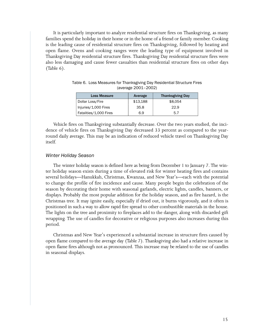<span id="page-19-0"></span>It is particularly important to analyze residential structure fires on Thanksgiving, as many families spend the holiday in their home or in the home of a friend or family member. Cooking is the leading cause of residential structure fires on Thanksgiving, followed by heating and open flame. Ovens and cooking ranges were the leading type of equipment involved in Thanksgiving Day residential structure fires. Thanksgiving Day residential structure fires were also less damaging and cause fewer casualties than residential structure fires on other days (Table 6).

| <b>Loss Measure</b>    | Average  | <b>Thanksgiving Day</b> |
|------------------------|----------|-------------------------|
| Dollar Loss/Fire       | \$13,188 | \$8.054                 |
| Injuries/1,000 Fires   | 35.8     | 22.9                    |
| Fatalities/1,000 Fires | 6.9      | 5.7                     |

Table 6. Loss Measures for Thanksgiving Day Residential Structure Fires (average 2001–2002)

Vehicle fires on Thanksgiving substantially decrease. Over the two years studied, the incidence of vehicle fires on Thanksgiving Day decreased 33 percent as compared to the year− round daily average. This may be an indication of reduced vehicle travel on Thanksgiving Day itself.

#### Winter Holiday Season

The winter holiday season is defined here as being from December 1 to January 7. The winter holiday season exists during a time of elevated risk for winter heating fires and contains several holidays—Hanukkah, Christmas, Kwanzaa, and New Year's—each with the potential to change the profile of fire incidence and cause. Many people begin the celebration of the season by decorating their home with seasonal garlands, electric lights, candles, banners, or displays. Probably the most popular addition for the holiday season, and as fire hazard, is the Christmas tree. It may ignite easily, especially if dried out, it burns vigorously, and it often is positioned in such a way to allow rapid fire spread to other combustible materials in the house. The lights on the tree and proximity to fireplaces add to the danger, along with discarded gift wrapping. The use of candles for decorative or religious purposes also increases during this period.

Christmas and New Year's experienced a substantial increase in structure fires caused by open flame compared to the average day (Table 7). Thanksgiving also had a relative increase in open flame fires although not as pronounced. This increase may be related to the use of candles in seasonal displays.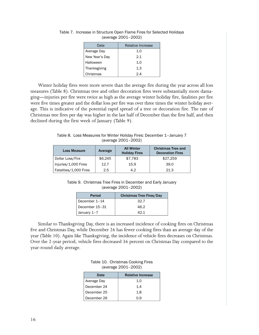| Date           | Relative Increase |
|----------------|-------------------|
| Average Day    | 1.0               |
| New Year's Day | 2.1               |
| Halloween      | 1.0               |
| Thanksgiving   | 1.3               |
| Christmas      | 24                |

Table [7](#page--1-0). Increase in Structure Open Flame Fires for Selected Holidays (average 2001–2002)

Winter holiday fires were more severe than the average fire during the year across all loss measures (Table 8). Christmas tree and other decoration fires were substantially more damaging—injuries per fire were twice as high as the average winter holiday fire, fatalities per fire were five times greater and the dollar loss per fire was over three times the winter holiday average. This is indicative of the potential rapid spread of a tree or decoration fire. The rate of Christmas tree fires per day was higher in the last half of December than the first half, and then declined during the first week of January (Table 9).

Table [8](#page--1-0). Loss Measures for Winter Holiday Fires: December 1–January 7 (average 2001–2002)

| <b>Loss Measure</b>    | Average | <b>All Winter</b><br><b>Holiday Fires</b> | <b>Christmas Tree and</b><br><b>Decoration Fires</b> |
|------------------------|---------|-------------------------------------------|------------------------------------------------------|
| Dollar Loss/Fire       | \$6.245 | \$7,783                                   | \$27,259                                             |
| Injuries/1,000 Fires   | 12.7    | 15.9                                      | 39.0                                                 |
| Fatalities/1,000 Fires | 2.5     | 42                                        | 21.3                                                 |

Table [9](#page--1-0). Christmas Tree Fires in December and Early January (average 2001–2002)

| Period         | <b>Christmas Tree Fires/Day</b> |
|----------------|---------------------------------|
| December 1-14  | 32.7                            |
| December 15-31 | 46.2                            |
| January 1-7    | 42 1                            |

Similar to Thanksgiving Day, there is an increased incidence of cooking fires on Christmas Eve and Christmas Day, while December 26 has fewer cooking fires than an average day of the year (Table 10). Again like Thanksgiving, the incidence of vehicle fires decreases on Christmas. Over the 2−year period, vehicle fires decreased 36 percent on Christmas Day compared to the year−round daily average.

|                     | Table 10. Christmas Cooking Fires |  |
|---------------------|-----------------------------------|--|
| (average 2001-2002) |                                   |  |

| Date        | <b>Relative Increase</b> |
|-------------|--------------------------|
| Average Day | 1.0                      |
| December 24 | 14                       |
| December 25 | 1.8                      |
| December 26 | ი 9                      |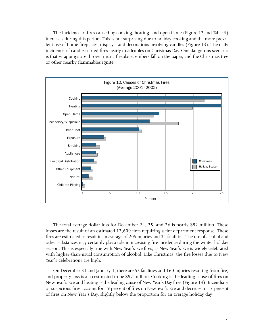The incidence of fires caused by cooking, heating, and open flame (Figure 12 and Table 5) increases during this period. This is not surprising due to holiday cooking and the more prevalent use of home fireplaces, displays, and decorations involving candles (Figure 13). The daily incidence of candle−started fires nearly quadruples on Christmas Day. One dangerous scenario is that wrappings are thrown near a fireplace, embers fall on the paper, and the Christmas tree or other nearby flammables ignite.



The total average dollar loss for December 24, 25, and 26 is nearly \$92 million. These losses are the result of an estimated 12,600 fires requiring a fire department response. These fires are estimated to result in an average of 205 injuries and 34 fatalities. The use of alcohol and other substances may certainly play a role in increasing fire incidence during the winter holiday season. This is especially true with New Year's Eve fires, as New Year's Eve is widely celebrated with higher−than−usual consumption of alcohol. Like Christmas, the fire losses due to New Year's celebrations are high.

On December 31 and January 1, there are 55 fatalities and 160 injuries resulting from fire, and property loss is also estimated to be \$92 million. Cooking is the leading cause of fires on New Year's Eve and heating is the leading cause of New Year's Day fires (Figure 14). Incendiary or suspicious fires account for 19 percent of fires on New Year's Eve and decrease to 17 percent of fires on New Year's Day, slightly below the proportion for an average holiday day.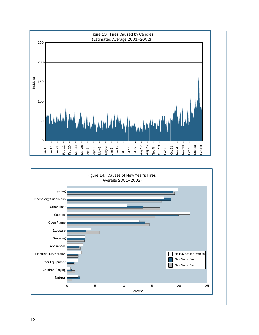